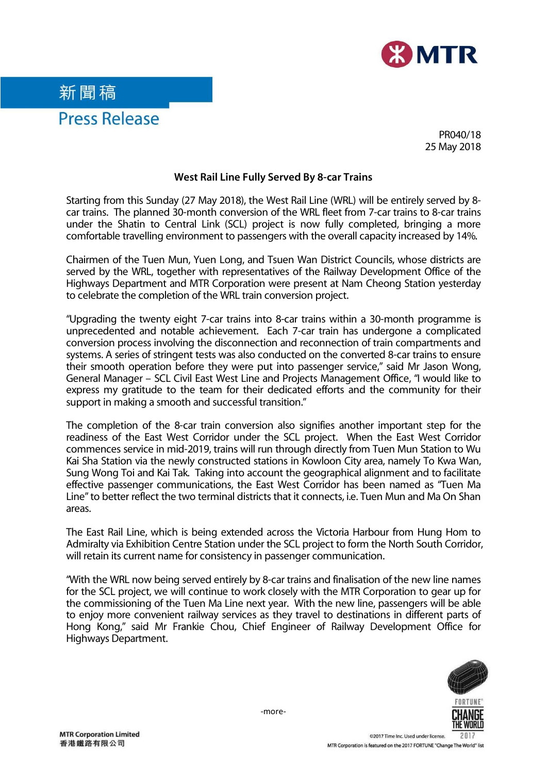

## 新聞稿 Press Release

PR040/18 25 May 2018

## **West Rail Line Fully Served By 8-car Trains**

Starting from this Sunday (27 May 2018), the West Rail Line (WRL) will be entirely served by 8 car trains. The planned 30-month conversion of the WRL fleet from 7-car trains to 8-car trains under the Shatin to Central Link (SCL) project is now fully completed, bringing a more comfortable travelling environment to passengers with the overall capacity increased by 14%.

Chairmen of the Tuen Mun, Yuen Long, and Tsuen Wan District Councils, whose districts are served by the WRL, together with representatives of the Railway Development Office of the Highways Department and MTR Corporation were present at Nam Cheong Station yesterday to celebrate the completion of the WRL train conversion project.

"Upgrading the twenty eight 7-car trains into 8-car trains within a 30-month programme is unprecedented and notable achievement. Each 7-car train has undergone a complicated conversion process involving the disconnection and reconnection of train compartments and systems. A series of stringent tests was also conducted on the converted 8-car trains to ensure their smooth operation before they were put into passenger service," said Mr Jason Wong, General Manager – SCL Civil East West Line and Projects Management Office, "I would like to express my gratitude to the team for their dedicated efforts and the community for their support in making a smooth and successful transition."

The completion of the 8-car train conversion also signifies another important step for the readiness of the East West Corridor under the SCL project. When the East West Corridor commences service in mid-2019, trains will run through directly from Tuen Mun Station to Wu Kai Sha Station via the newly constructed stations in Kowloon City area, namely To Kwa Wan, Sung Wong Toi and Kai Tak. Taking into account the geographical alignment and to facilitate effective passenger communications, the East West Corridor has been named as "Tuen Ma Line" to better reflect the two terminal districts that it connects, i.e. Tuen Mun and Ma On Shan areas.

The East Rail Line, which is being extended across the Victoria Harbour from Hung Hom to Admiralty via Exhibition Centre Station under the SCL project to form the North South Corridor, will retain its current name for consistency in passenger communication.

"With the WRL now being served entirely by 8-car trains and finalisation of the new line names for the SCL project, we will continue to work closely with the MTR Corporation to gear up for the commissioning of the Tuen Ma Line next year. With the new line, passengers will be able to enjoy more convenient railway services as they travel to destinations in different parts of Hong Kong," said Mr Frankie Chou, Chief Engineer of Railway Development Office for Highways Department.



-more-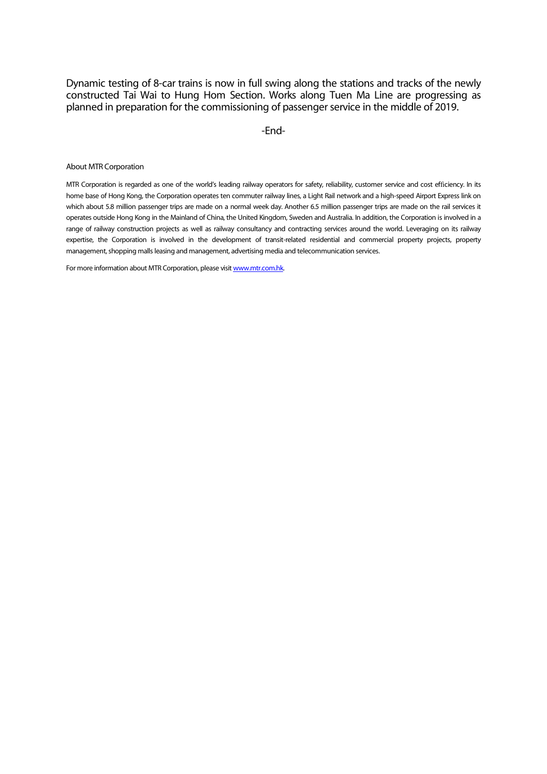Dynamic testing of 8-car trains is now in full swing along the stations and tracks of the newly constructed Tai Wai to Hung Hom Section. Works along Tuen Ma Line are progressing as planned in preparation for the commissioning of passenger service in the middle of 2019.

-End-

About MTR Corporation

MTR Corporation is regarded as one of the world's leading railway operators for safety, reliability, customer service and cost efficiency. In its home base of Hong Kong, the Corporation operates ten commuter railway lines, a Light Rail network and a high-speed Airport Express link on which about 5.8 million passenger trips are made on a normal week day. Another 6.5 million passenger trips are made on the rail services it operates outside Hong Kong in the Mainland of China, the United Kingdom, Sweden and Australia. In addition, the Corporation is involved in a range of railway construction projects as well as railway consultancy and contracting services around the world. Leveraging on its railway expertise, the Corporation is involved in the development of transit-related residential and commercial property projects, property management, shopping malls leasing and management, advertising media and telecommunication services.

For more information about MTR Corporation, please visi[t www.mtr.com.hk.](http://www.mtr.com.hk/)